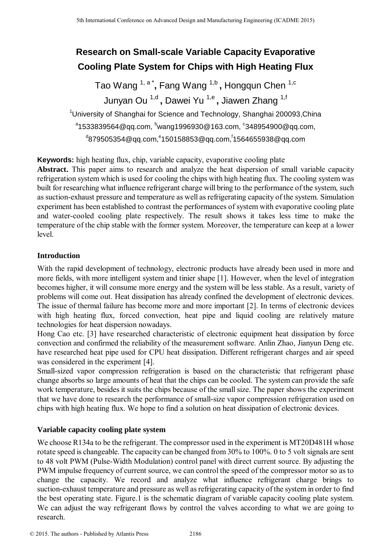# **Research on Small-scale Variable Capacity Evaporative Cooling Plate System for Chips with High Heating Flux**

Tao Wang 1, a \* **,** Fang Wang 1,b **,** Hongqun Chen 1,c Junyan Ou <sup>1,d</sup> , Dawei Yu <sup>1,e</sup> , Jiawen Zhang <sup>1,f</sup>

<sup>1</sup>University of Shanghai for Science and Technology, Shanghai 200093, China  $^{\circ}$ 1533839564@qq.com,  $^{\rm b}$ wang1996930@163.com,  $^{\rm c}$ 348954900@qq.com, d879505354@qq.com,<sup>e</sup>150158853@qq.com,<sup>f</sup>1564655938@qq.com

**Keywords:** high heating flux, chip, variable capacity, evaporative cooling plate

**Abstract.** This paper aims to research and analyze the heat dispersion of small variable capacity refrigeration system which is used for cooling the chips with high heating flux. The cooling system was built for researching what influence refrigerant charge will bring to the performance of the system, such as suction-exhaust pressure and temperature as well as refrigerating capacity of the system. Simulation experiment has been established to contrast the performances of system with evaporative cooling plate and water-cooled cooling plate respectively. The result shows it takes less time to make the temperature of the chip stable with the former system. Moreover, the temperature can keep at a lower level.

# **Introduction**

With the rapid development of technology, electronic products have already been used in more and more fields, with more intelligent system and tinier shape [1]. However, when the level of integration becomes higher, it will consume more energy and the system will be less stable. As a result, variety of problems will come out. Heat dissipation has already confined the development of electronic devices. The issue of thermal failure has become more and more important [2]. In terms of electronic devices with high heating flux, forced convection, heat pipe and liquid cooling are relatively mature technologies for heat dispersion nowadays.

Hong Cao etc. [3] have researched characteristic of electronic equipment heat dissipation by force convection and confirmed the reliability of the measurement software. Anlin Zhao, Jianyun Deng etc. have researched heat pipe used for CPU heat dissipation. Different refrigerant charges and air speed was considered in the experiment [4].

Small-sized vapor compression refrigeration is based on the characteristic that refrigerant phase change absorbs so large amounts of heat that the chips can be cooled. The system can provide the safe work temperature, besides it suits the chips because of the small size. The paper shows the experiment that we have done to research the performance of small-size vapor compression refrigeration used on chips with high heating flux. We hope to find a solution on heat dissipation of electronic devices.

# **Variable capacity cooling plate system**

We choose R134a to be the refrigerant. The compressor used in the experiment is MT20D481H whose rotate speed is changeable. The capacity can be changed from 30% to 100%. 0 to 5 volt signals are sent to 48 volt PWM (Pulse-Width Modulation) control panel with direct current source. By adjusting the PWM impulse frequency of current source, we can control the speed of the compressor motor so as to change the capacity. We record and analyze what influence refrigerant charge brings to suction-exhaust temperature and pressure as well as refrigerating capacity of the system in order to find the best operating state. Figure.1 is the schematic diagram of variable capacity cooling plate system. We can adjust the way refrigerant flows by control the valves according to what we are going to research. <sup>5th</sup> International Conference on Advanced Design and Manufacturing Engineering Conference on Advanced Design and The authors - The authors - The authors - The authors - The authors - The authors - Published Conference on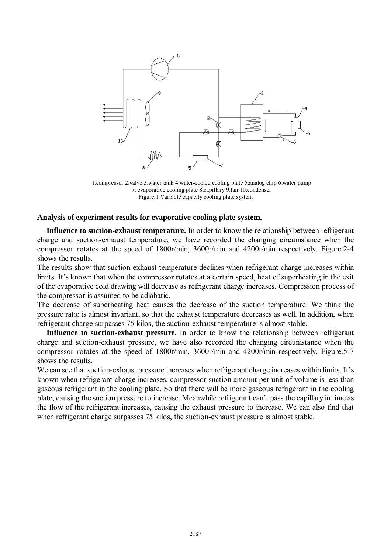

1:compressor 2:valve 3:water tank 4:water-cooled cooling plate 5:analog chip 6:water pump 7: evaporative cooling plate 8:capillary 9:fan 10:condenser Figure.1 Variable capacity cooling plate system

#### **Analysis of experiment results for evaporative cooling plate system.**

**Influence to suction-exhaust temperature.** In order to know the relationship between refrigerant charge and suction-exhaust temperature, we have recorded the changing circumstance when the compressor rotates at the speed of 1800r/min, 3600r/min and 4200r/min respectively. Figure.2-4 shows the results.

The results show that suction-exhaust temperature declines when refrigerant charge increases within limits. It's known that when the compressor rotates at a certain speed, heat of superheating in the exit of the evaporative cold drawing will decrease as refrigerant charge increases. Compression process of the compressor is assumed to be adiabatic.

The decrease of superheating heat causes the decrease of the suction temperature. We think the pressure ratio is almost invariant, so that the exhaust temperature decreases as well. In addition, when refrigerant charge surpasses 75 kilos, the suction-exhaust temperature is almost stable.

**Influence to suction-exhaust pressure.** In order to know the relationship between refrigerant charge and suction-exhaust pressure, we have also recorded the changing circumstance when the compressor rotates at the speed of 1800r/min, 3600r/min and 4200r/min respectively. Figure.5-7 shows the results.

We can see that suction-exhaust pressure increases when refrigerant charge increases within limits. It's known when refrigerant charge increases, compressor suction amount per unit of volume is less than gaseous refrigerant in the cooling plate. So that there will be more gaseous refrigerant in the cooling plate, causing the suction pressure to increase. Meanwhile refrigerant can't pass the capillary in time as the flow of the refrigerant increases, causing the exhaust pressure to increase. We can also find that when refrigerant charge surpasses 75 kilos, the suction-exhaust pressure is almost stable.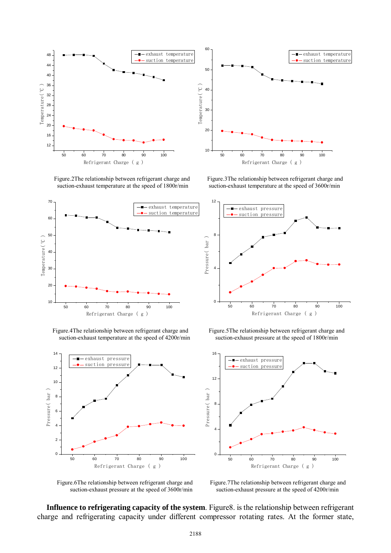

suction-exhaust temperature at the speed of 1800r/min suction-exhaust temperature at the speed of 3600r/min







Figure.2The relationship between refrigerant charge and Figure.3The relationship between refrigerant charge and



Figure.4The relationship between refrigerant charge and Figure.5The relationship between refrigerant charge and suction-exhaust temperature at the speed of 4200r/min suction-exhaust pressure at the speed of 1800r/min



suction-exhaust pressure at the speed of 3600r/min suction-exhaust pressure at the speed of 4200r/min

Figure.6The relationship between refrigerant charge and Figure.7The relationship between refrigerant charge and

**Influence to refrigerating capacity of the system**. Figure8. is the relationship between refrigerant charge and refrigerating capacity under different compressor rotating rates. At the former state,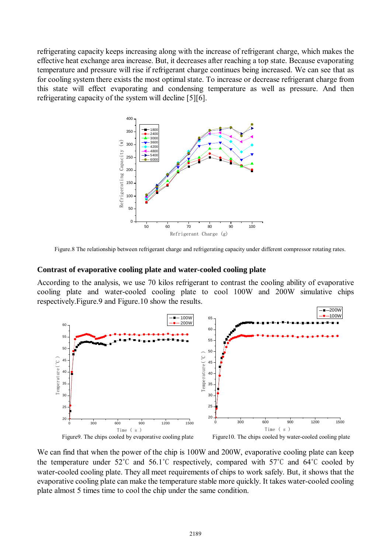refrigerating capacity keeps increasing along with the increase of refrigerant charge, which makes the effective heat exchange area increase. But, it decreases after reaching a top state. Because evaporating temperature and pressure will rise if refrigerant charge continues being increased. We can see that as for cooling system there exists the most optimal state. To increase or decrease refrigerant charge from this state will effect evaporating and condensing temperature as well as pressure. And then refrigerating capacity of the system will decline [5][6].



Figure.8 The relationship between refrigerant charge and refrigerating capacity under different compressor rotating rates.

#### **Contrast of evaporative cooling plate and water-cooled cooling plate**

According to the analysis, we use 70 kilos refrigerant to contrast the cooling ability of evaporative cooling plate and water-cooled cooling plate to cool 100W and 200W simulative chips respectively.Figure.9 and Figure.10 show the results.



We can find that when the power of the chip is 100W and 200W, evaporative cooling plate can keep the temperature under  $52^{\circ}$ C and  $56.1^{\circ}$ C respectively, compared with  $57^{\circ}$ C and  $64^{\circ}$ C cooled by water-cooled cooling plate. They all meet requirements of chips to work safely. But, it shows that the evaporative cooling plate can make the temperature stable more quickly. It takes water-cooled cooling plate almost 5 times time to cool the chip under the same condition.